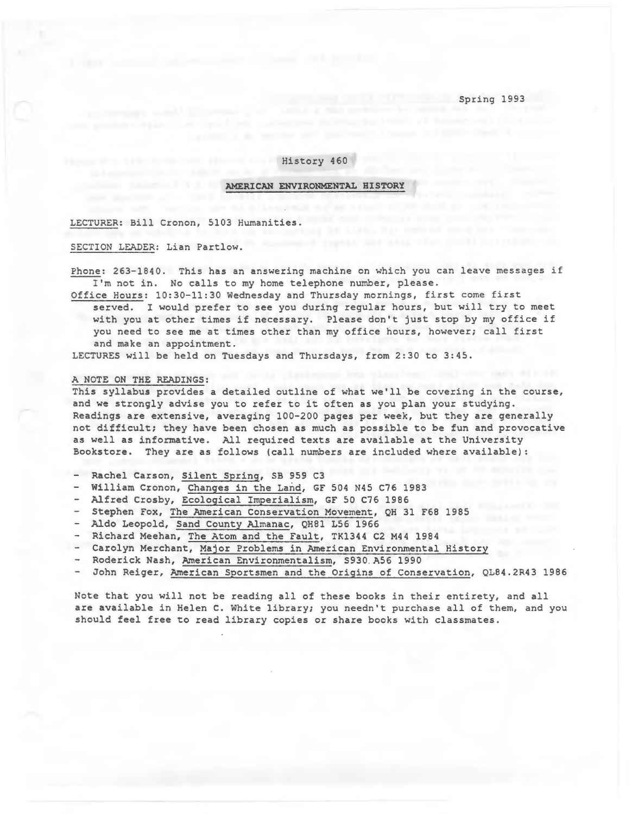Spring 1993

# History 460

# AMERICAN ENVIRONMENTAL HISTORY

LECTURER: Bill Cronon, 5103 Humanities.

SECTION LEADER: Lian Partlow.

Phone: 263-1840. This has an answering machine on which you can leave messages if I'm not in. No calls to my home telephone number, please.

Office Hours: 10:30-11:30 Wednesday and Thursday mornings, first come first served. I would prefer to see you during regular hours, but will try to meet with you at other times if necessary. Please don't just stop by my office if you need to see me at times other than my office hours, however; call first and make an appointment.

LECTURES will be held on Tuesdays and Thursdays, from 2:30 to 3:45.

and the mother and the

### A NOTE ON THE READINGS:

This syllabus provides a detailed outline of what we'll be covering in the course, and we strongly advise you to refer to it often as you plan your studying. Readings are extensive, averaging 100-200 pages per week, but they are generally not difficult; they have been chosen as much as possible to be fun and provocative as well as informative. All required texts are available at the University Bookstore. They are as follows (call numbers are included where available):

- Rachel Carson, Silent Spring, SB 959 C3
- William Cronon, Changes in the Land, GF 504 N45 C76 1983
- Alfred Crosby, Ecological Imperialism, GF 50 C76 1986
- Stephen Fox, The American Conservation Movement, QH 31 F68 1985
- Aldo Leopold, Sand County Almanac, QH81 L56 1966
- Richard Meehan, The Atom and the Fault, TK1344 C2 M44 1984
- Carolyn Merchant, Major Problems in American Environmental History
- Roderick Nash, American Environmentalism, S930 A56 1990
- John Reiger, American Sportsmen and the Origins of Conservation, QL84.2R43 1986

Note that you will not be reading all of these books in their entirety, and all are available in Helen C. White library; you needn't purchase all of them, and you should feel free to read library copies or share books with classmates.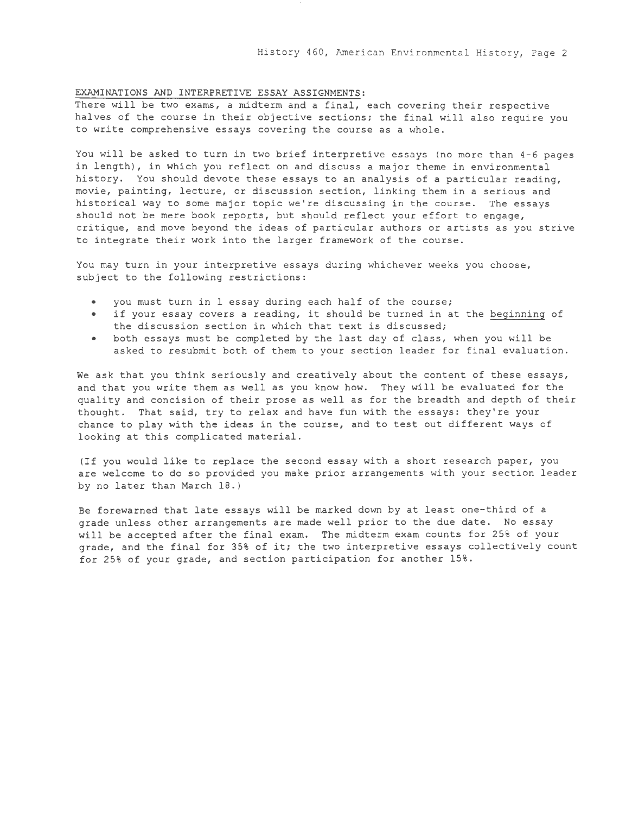### EXAMINATIONS AND INTERPRETIVE ESSAY ASSIGNMENTS:

There will be two exams, a midterm and a final, each covering their respective halves of the course in their objective sections; the final will also require you to write comprehensive essays covering the course as a whole.

You will be asked to turn in two brief interpretive essays (no more than 4-6 pages in length), in which you reflect on and discuss a major theme in environmental history. You should devote these essays to an analysis of a particular reading, movie, painting, lecture, or discussion section, linking them in a serious and historical way to some major topic we're discussing in the course. The essays should not be mere book reports, but should reflect your effort to engage, critique, and move beyond the ideas of particular authors or artists as you strive to integrate their work into the larger framework of the course.

You may turn in your interpretive essays during whichever weeks you choose, subject to the following restrictions:

- you must turn in 1 essay during each half of the course;
- if your essay covers a reading, it should be turned in at the beginning of the discussion section in which that text is discussed;
- both essays must be completed by the last day of class, when you will be asked to resubmit both of them to your section leader for final evaluation.

We ask that you think seriously and creatively about the content of these essays, and that you write them as well as you know how. They will be evaluated for the quality and concision of their prose as well as for the breadth and depth of their thought. That said, try to relax and have fun with the essays: they're your chance to play with the ideas in the course, and to test out different ways of looking at this complicated material.

(If you would like to replace the second essay with a short research paper, you are welcome to do so provided you make prior arrangements with your section leader by no later than March 18.)

Be forewarned that late essays will be marked down by at least one-third of a grade unless other arrangements are made well prior to the due date. No essay will be accepted after the final exam. The midterm exam counts for 25% of your grade, and the final for 35% of it; the two interpretive essays collectively count for 25% of your grade, and section participation for another  $15\%$ .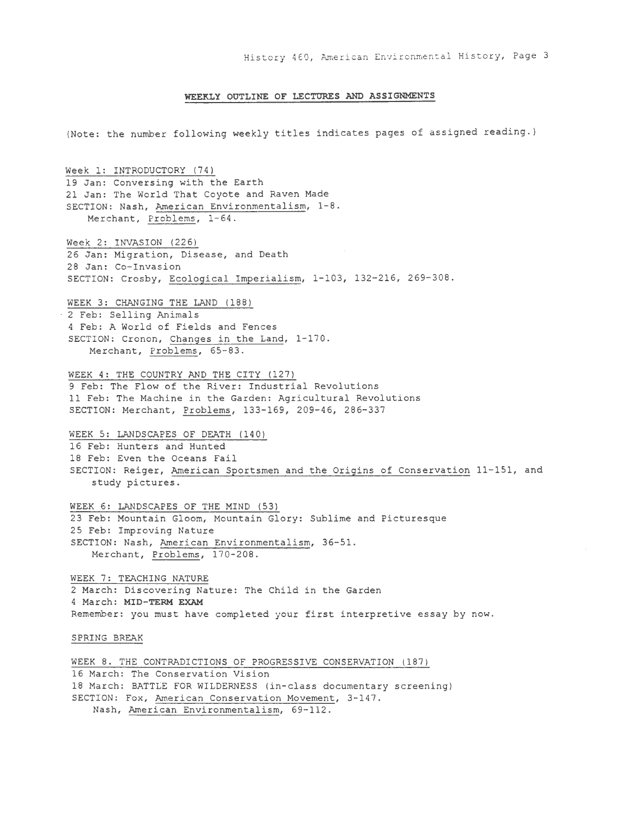#### **WEEKLY OUTLINE OF LECTURES AND ASSIGNMENTS**

(Note: the number following weekly titles indicates pages of assigned reading.)

Week 1: INTRODUCTORY (74) 19 Jan: Conversing with the Earth 21 Jan: The World That Coyote and Raven Made SECTION: Nash, American Environmentalism, 1-8. Merchant, Problems, 1-64. Week 2: INVASION (226) 26 Jan: Migration, Disease, and Death 28 Jan: Co-Invasion SECTION: Crosby, Ecological Imperialism, 1-103, 132-216, 269-308. WEEK 3: CHANGING THE LAND (188) 2 Feb: Selling Animals 4 Feb: A World of Fields and Fences SECTION: Cronon, Changes in the Land, 1-170. Merchant, Problems, 65-83. WEEK 4: THE COUNTRY AND THE CITY (127) 9 Feb: The Flow of the River: Industrial Revolutions 11 Feb: The Machine in the Garden: Agricultural Revolutions SECTION: Merchant, Problems, 133-169, 209-46, 286-337 WEEK 5: LANDSCAPES OF DEATH (140) 16 Feb: Hunters and Hunted 18 Feb: Even the Oceans Fail SECTION: Reiger, American Sportsmen and the Origins of Conservation 11-151, and study pictures. WEEK 6: LANDSCAPES OF THE MIND (53) 23 Feb: Mountain Gloom, Mountain Glory: Sublime and Picturesque 25 Feb: Improving Nature SECTION: Nash, American Environmentalism, 36-51. Merchant, Problems, 170-208. WEEK 7: TEACHING NATURE 2 March: Discovering Nature: The Child in the Garden 4 March: **MID-TERM EXAM**  Remember: you must have completed your first interpretive essay by now. SPRING BREAK WEEK 8. THE CONTRADICTIONS OF PROGRESSIVE CONSERVATION (187) 16 March: The Conservation Vision 18 March: BATTLE FOR WILDERNESS (in-class documentary screening) SECTION: Fox, American Conservation Movement, 3-147. Nash, American Environmentalism, 69-112.